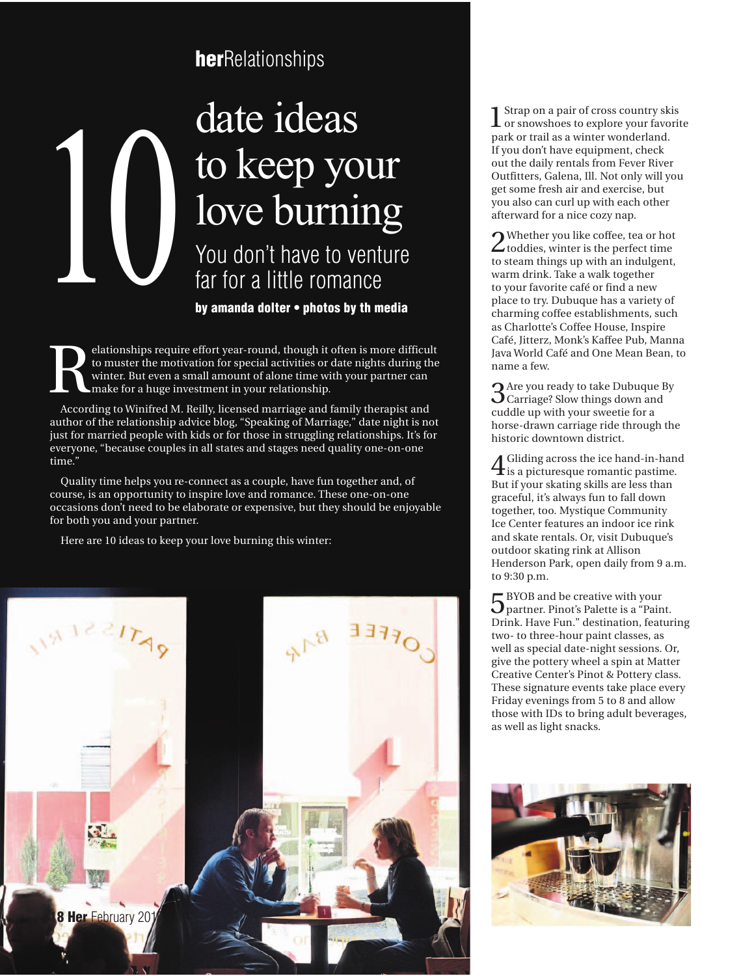## **her**Relationships

## 10 NCCP your<br>10Ve burning<br>You don't have to venture<br>far for a little romance<br>by amanda dolter • photos by th media far for a little romance date ideas to keep your love burning

**by amanda dolter • photos by th media**

Experience of the motivation for special activities or date nights during the winter. But even a small amount of alone time with your partner can make for a huge investment in your relationship. to muster the motivation for special activities or date nights during the winter. But even a small amount of alone time with your partner can make for a huge investment in your relationship.

According to Winifred M. Reilly, licensed marriage and family therapist and author of the relationship advice blog, "Speaking of Marriage," date night is not just for married people with kids or for those in struggling relationships. It's for everyone, "because couples in all states and stages need quality one-on-one time."

Quality time helps you re-connect as a couple, have fun together and, of course, is an opportunity to inspire love and romance. These one-on-one occasions don't need to be elaborate or expensive, but they should be enjoyable for both you and your partner.

Here are 10 ideas to keep your love burning this winter:



1Strap on a pair of cross country skis or snowshoes to explore your favorite park or trail as a winter wonderland. If you don't have equipment, check out the daily rentals from Fever River Outfitters, Galena, Ill. Not only will you get some fresh air and exercise, but you also can curl up with each other afterward for a nice cozy nap.

2Whether you like coffee, tea or hot toddies, winter is the perfect time to steam things up with an indulgent, warm drink. Take a walk together to your favorite café or find a new place to try. Dubuque has a variety of charming coffee establishments, such as Charlotte's Coffee House, Inspire Café, Jitterz, Monk's Kaffee Pub, Manna Java World Café and One Mean Bean, to name a few.

3Are you ready to take Dubuque By Carriage? Slow things down and cuddle up with your sweetie for a horse-drawn carriage ride through the historic downtown district.

4Gliding across the ice hand-in-hand is a picturesque romantic pastime. But if your skating skills are less than graceful, it's always fun to fall down together, too. Mystique Community Ice Center features an indoor ice rink and skate rentals. Or, visit Dubuque's outdoor skating rink at Allison Henderson Park, open daily from 9 a.m. to 9:30 p.m.

5BYOB and be creative with your partner. Pinot's Palette is a "Paint. Drink. Have Fun." destination, featuring two- to three-hour paint classes, as well as special date-night sessions. Or, give the pottery wheel a spin at Matter Creative Center's Pinot & Pottery class. These signature events take place every Friday evenings from 5 to 8 and allow those with IDs to bring adult beverages, as well as light snacks.